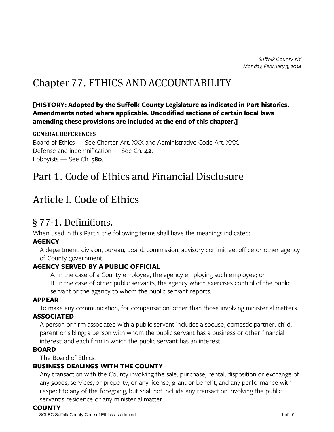# Chapter 77. ETHICS AND ACCOUNTABILITY

#### [HISTORY: Adopted by the Suffolk County Legislature as indicated in Part histories. Amendments noted where applicable. Uncodified sections of certain local laws amending these provisions are included at the end of this chapter.]

#### GENERAL REFERENCES

Board of Ethics — See Charter Art. XXX and Administrative Code Art. XXX. Defense and indemnification — See Ch. 42. Lobbyists — See Ch.  $580$ .

### Part 1. Code of Ethics and Financial Disclosure

### Article I. Code of Ethics

### § 77-1. Definitions.

When used in this Part 1, the following terms shall have the meanings indicated:

#### **AGENCY**

A department, division, bureau, board, commission, advisory committee, office or other agency of County government.

#### AGENCY SERVED BY A PUBLIC OFFICIAL

A. In the case of a County employee, the agency employing such employee; or

B. In the case of other public servants, the agency which exercises control of the public servant or the agency to whom the public servant reports.

#### APPEAR

To make any communication, for compensation, other than those involving ministerial matters.

#### ASSOCIATED

A person or firm associated with a public servant includes a spouse, domestic partner, child, parent or sibling; a person with whom the public servant has a business or other financial interest; and each firm in which the public servant has an interest.

#### BOARD

The Board of Ethics.

### BUSINESS DEALINGS WITH THE COUNTY

Any transaction with the County involving the sale, purchase, rental, disposition or exchange of any goods, services, or property, or any license, grant or benefit, and any performance with respect to any of the foregoing, but shall not include any transaction involving the public servant's residence or any ministerial matter.

#### **COUNTY**

SCLBC Suffolk County Code of Ethics as adopted 1 of 10 of 10 of 10 of 10 of 10 of 10 of 10 of 10 of 10 of 10 of 10 of 10 of 10 of 10 of 10 of 10 of 10 of 10 of 10 of 10 of 10 of 10 of 10 of 10 of 10 of 10 of 10 of 10 of 10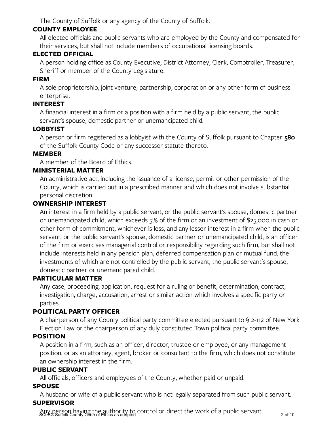The County of Suffolk or any agency of the County of Suffolk.

### COUNTY EMPLOYEE

All elected officials and public servants who are employed by the County and compensated for their services, but shall not include members of occupational licensing boards.

### ELECTED OFFICIAL

A person holding office as County Executive, District Attorney, Clerk, Comptroller, Treasurer, Sheriff or member of the County Legislature.

### FIRM

A sole proprietorship, joint venture, partnership, corporation or any other form of business enterprise.

#### INTEREST

A financial interest in a firm or a position with a firm held by a public servant, the public servant's spouse, domestic partner or unemancipated child.

### **LOBBYIST**

A person or firm registered as a lobbyist with the County of Suffolk pursuant to Chapter 580 of the Suffolk County Code or any successor statute thereto.

#### MEMBER

A member of the Board of Ethics.

### MINISTERIAL MATTER

An administrative act, including the issuance of a license, permit or other permission of the County, which is carried out in a prescribed manner and which does not involve substantial personal discretion.

#### OWNERSHIP INTEREST

An interest in a firm held by a public servant, or the public servant's spouse, domestic partner or unemancipated child, which exceeds 5% of the firm or an investment of \$25,000 in cash or other form of commitment, whichever is less, and any lesser interest in a firm when the public servant, or the public servant's spouse, domestic partner or unemancipated child, is an officer of the firm or exercises managerial control or responsibility regarding such firm, but shall not include interests held in any pension plan, deferred compensation plan or mutual fund, the investments of which are not controlled by the public servant, the public servant's spouse, domestic partner or unemancipated child.

### PARTICULAR MATTER

Any case, proceeding, application, request for a ruling or benefit, determination, contract, investigation, charge, accusation, arrest or similar action which involves a specific party or parties.

### POLITICAL PARTY OFFICER

A chairperson of any County political party committee elected pursuant to § 2-112 of New York Election Law or the chairperson of any duly constituted Town political party committee.

### POSITION

A position in a firm, such as an officer, director, trustee or employee, or any management position, or as an attorney, agent, broker or consultant to the firm, which does not constitute an ownership interest in the firm.

### PUBLIC SERVANT

All officials, officers and employees of the County, whether paid or unpaid.

### SPOUSE

A husband or wife of a public servant who is not legally separated from such public servant. **SUPERVISOR** 

Any person having the authority to control or direct the work of a public servant.<br>SCLBC Suffolk County Code of Ethics as adopted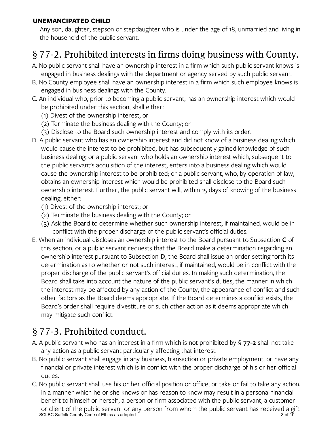### UNEMANCIPATED CHILD

Any son, daughter, stepson or stepdaughter who is under the age of 18, unmarried and living in the household of the public servant.

## § 77-2. Prohibited interests in firms doing business with County.

- A. No public servant shall have an ownership interest in a firm which such public servant knows is engaged in business dealings with the department or agency served by such public servant.
- B. No County employee shall have an ownership interest in a firm which such employee knows is engaged in business dealings with the County.
- C. An individual who, prior to becoming a public servant, has an ownership interest which would be prohibited under this section, shall either:
	- (1) Divest of the ownership interest; or
	- (2) Terminate the business dealing with the County; or
	- (3) Disclose to the Board such ownership interest and comply with its order.
- D. A public servant who has an ownership interest and did not know of a business dealing which would cause the interest to be prohibited, but has subsequently gained knowledge of such business dealing; or a public servant who holds an ownership interest which, subsequent to the public servant's acquisition of the interest, enters into a business dealing which would cause the ownership interest to be prohibited; or a public servant, who, by operation of law, obtains an ownership interest which would be prohibited shall disclose to the Board such ownership interest. Further, the public servant will, within 15 days of knowing of the business dealing, either:
	- (1) Divest of the ownership interest; or
	- (2) Terminate the business dealing with the County; or
	- (3) Ask the Board to determine whether such ownership interest, if maintained, would be in conflict with the proper discharge of the public servant's official duties.
- E. When an individual discloses an ownership interest to the Board pursuant to Subsection C of this section, or a public servant requests that the Board make a determination regarding an ownership interest pursuant to Subsection **D**, the Board shall issue an order setting forth its determination as to whether or not such interest, if maintained, would be in conflict with the proper discharge of the public servant's official duties. In making such determination, the Board shall take into account the nature of the public servant's duties, the manner in which the interest may be affected by any action of the County, the appearance of conflict and such other factors as the Board deems appropriate. If the Board determines a conflict exists, the Board's order shall require divestiture or such other action as it deems appropriate which may mitigate such conflict.

## § 77-3. Prohibited conduct.

- A. A public servant who has an interest in a firm which is not prohibited by  $\frac{1}{5}$  77-2 shall not take any action as a public servant particularly affecting that interest.
- B. No public servant shall engage in any business, transaction or private employment, or have any financial or private interest which is in conflict with the proper discharge of his or her official duties.
- C. No public servant shall use his or her official position or office, or take or fail to take any action, in a manner which he or she knows or has reason to know may result in a personal financial benefit to himself or herself, a person or firm associated with the public servant, a customer or client of the public servant or any person from whom the public servant has received a gift SCLBC Suffolk County Code of Ethics as adopted 3 of 10  $\,$  3 of 10  $\,$  3 of 10  $\,$  3 of 10  $\,$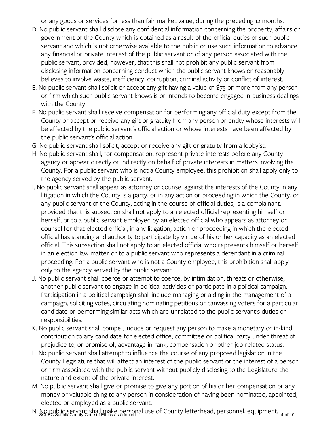or any goods or services for less than fair market value, during the preceding 12 months.

- D. No public servant shall disclose any confidential information concerning the property, affairs or government of the County which is obtained as a result of the official duties of such public servant and which is not otherwise available to the public or use such information to advance any financial or private interest of the public servant or of any person associated with the public servant; provided, however, that this shall not prohibit any public servant from disclosing information concerning conduct which the public servant knows or reasonably believes to involve waste, inefficiency, corruption, criminal activity or conflict of interest.
- E. No public servant shall solicit or accept any gift having a value of \$75 or more from any person or firm which such public servant knows is or intends to become engaged in business dealings with the County.
- F. No public servant shall receive compensation for performing any official duty except from the County or accept or receive any gift or gratuity from any person or entity whose interests will be affected by the public servant's official action or whose interests have been affected by the public servant's official action.
- G. No public servant shall solicit, accept or receive any gift or gratuity from a lobbyist.
- H. No public servant shall, for compensation, represent private interests before any County agency or appear directly or indirectly on behalf of private interests in matters involving the County. For a public servant who is not a County employee, this prohibition shall apply only to the agency served by the public servant.
- I. No public servant shall appear as attorney or counsel against the interests of the County in any litigation in which the County is a party, or in any action or proceeding in which the County, or any public servant of the County, acting in the course of official duties, is a complainant, provided that this subsection shall not apply to an elected official representing himself or herself, or to a public servant employed by an elected official who appears as attorney or counsel for that elected official, in any litigation, action or proceeding in which the elected official has standing and authority to participate by virtue of his or her capacity as an elected official. This subsection shall not apply to an elected official who represents himself or herself in an election law matter or to a public servant who represents a defendant in a criminal proceeding. For a public servant who is not a County employee, this prohibition shall apply only to the agency served by the public servant.
- J. No public servant shall coerce or attempt to coerce, by intimidation, threats or otherwise, another public servant to engage in political activities or participate in a political campaign. Participation in a political campaign shall include managing or aiding in the management of a campaign, soliciting votes, circulating nominating petitions or canvassing voters for a particular candidate or performing similar acts which are unrelated to the public servant's duties or responsibilities.
- K. No public servant shall compel, induce or request any person to make a monetary or in-kind contribution to any candidate for elected office, committee or political party under threat of prejudice to, or promise of, advantage in rank, compensation or other job-related status.
- L. No public servant shall attempt to influence the course of any proposed legislation in the County Legislature that will affect an interest of the public servant or the interest of a person or firm associated with the public servant without publicly disclosing to the Legislature the nature and extent of the private interest.
- M. No public servant shall give or promise to give any portion of his or her compensation or any money or valuable thing to any person in consideration of having been nominated, appointed, elected or employed as a public servant.
- N. No public servant shall make personal use of County letterhead, personnel, equipment, 4 of 10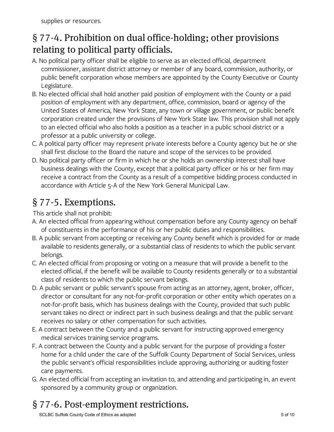## § 77-4. Prohibition on dual office-holding; other provisions relating to political party officials.

- A. No political party officer shall be eligible to serve as an elected official, department commissioner, assistant district attorney or member of any board, commission, authority, or public benefit corporation whose members are appointed by the County Executive or County Legislature.
- B. No elected official shall hold another paid position of employment with the County or a paid position of employment with any department, office, commission, board or agency of the United States of America, New York State, any town or village government, or public benefit corporation created under the provisions of New York State law. This provision shall not apply to an elected official who also holds a position as a teacher in a public school district or a professor at a public university or college.
- C. A political party officer may represent private interests before a County agency but he or she shall first disclose to the Board the nature and scope of the services to be provided.
- D. No political party officer or firm in which he or she holds an ownership interest shall have business dealings with the County, except that a political party officer or his or her firm may receive a contract from the County as a result of a competitive bidding process conducted in accordance with Article 5-A of the New York General Municipal Law.

### § 77-5. Exemptions.

This article shall not prohibit:

- A. An elected official from appearing without compensation before any County agency on behalf of constituents in the performance of his or her public duties and responsibilities.
- B. A public servant from accepting or receiving any County benefit which is provided for or made available to residents generally, or a substantial class of residents to which the public servant belongs.
- C. An elected official from proposing or voting on a measure that will provide a benefit to the elected official, if the benefit will be available to County residents generally or to a substantial class of residents to which the public servant belongs.
- D. A public servant or public servant's spouse from acting as an attorney, agent, broker, officer, director or consultant for any not-for-profit corporation or other entity which operates on a not-for-profit basis, which has business dealings with the County, provided that such public servant takes no direct or indirect part in such business dealings and that the public servant receives no salary or other compensation for such activities.
- E. A contract between the County and a public servant for instructing approved emergency medical services training service programs.
- F. A contract between the County and a public servant for the purpose of providing a foster home for a child under the care of the Suffolk County Department of Social Services, unless the public servant's official responsibilities include approving, authorizing or auditing foster care payments.
- G. An elected official from accepting an invitation to, and attending and participating in, an event sponsored by a community group or organization.

# § 77-6. Post-employment restrictions.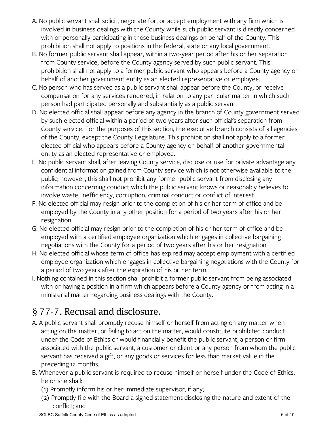- A. No public servant shall solicit, negotiate for, or accept employment with any firm which is involved in business dealings with the County while such public servant is directly concerned with or personally participating in those business dealings on behalf of the County. This prohibition shall not apply to positions in the federal, state or any local government.
- B. No former public servant shall appear, within a two-year period after his or her separation from County service, before the County agency served by such public servant. This prohibition shall not apply to a former public servant who appears before a County agency on behalf of another government entity as an elected representative or employee.
- C. No person who has served as a public servant shall appear before the County, or receive compensation for any services rendered, in relation to any particular matter in which such person had participated personally and substantially as a public servant.
- D. No elected official shall appear before any agency in the branch of County government served by such elected official within a period of two years after such official's separation from County service. For the purposes of this section, the executive branch consists of all agencies of the County, except the County Legislature. This prohibition shall not apply to a former elected official who appears before a County agency on behalf of another governmental entity as an elected representative or employee.
- E. No public servant shall, after leaving County service, disclose or use for private advantage any confidential information gained from County service which is not otherwise available to the public; however, this shall not prohibit any former public servant from disclosing any information concerning conduct which the public servant knows or reasonably believes to involve waste, inefficiency, corruption, criminal conduct or conflict of interest.
- F. No elected official may resign prior to the completion of his or her term of office and be employed by the County in any other position for a period of two years after his or her resignation.
- G. No elected official may resign prior to the completion of his or her term of office and be employed with a certified employee organization which engages in collective bargaining negotiations with the County for a period of two years after his or her resignation.
- H. No elected official whose term of office has expired may accept employment with a certified employee organization which engages in collective bargaining negotiations with the County for a period of two years after the expiration of his or her term.
- I. Nothing contained in this section shall prohibit a former public servant from being associated with or having a position in a firm which appears before a County agency or from acting in a ministerial matter regarding business dealings with the County.

## § 77-7. Recusal and disclosure.

- A. A public servant shall promptly recuse himself or herself from acting on any matter when acting on the matter, or failing to act on the matter, would constitute prohibited conduct under the Code of Ethics or would financially benefit the public servant, a person or firm associated with the public servant, a customer or client or any person from whom the public servant has received a gift, or any goods or services for less than market value in the preceding 12 months.
- B. Whenever a public servant is required to recuse himself or herself under the Code of Ethics, he or she shall:
	- (1) Promptly inform his or her immediate supervisor, if any;
	- (2) Promptly file with the Board a signed statement disclosing the nature and extent of the conflict; and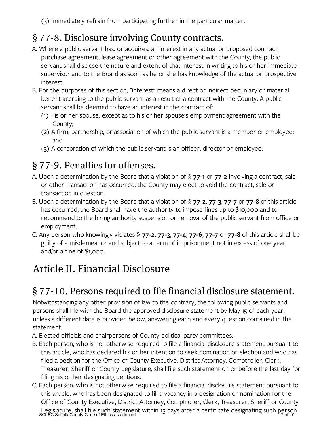(3) Immediately refrain from participating further in the particular matter.

## § 77-8. Disclosure involving County contracts.

- A. Where a public servant has, or acquires, an interest in any actual or proposed contract, purchase agreement, lease agreement or other agreement with the County, the public servant shall disclose the nature and extent of that interest in writing to his or her immediate supervisor and to the Board as soon as he or she has knowledge of the actual or prospective interest.
- B. For the purposes of this section, "interest" means a direct or indirect pecuniary or material benefit accruing to the public servant as a result of a contract with the County. A public servant shall be deemed to have an interest in the contract of:
	- (1) His or her spouse, except as to his or her spouse's employment agreement with the County;
	- (2) A firm, partnership, or association of which the public servant is a member or employee; and
	- (3) A corporation of which the public servant is an officer, director or employee.

# § 77-9. Penalties for offenses.

- A. Upon a determination by the Board that a violation of  $\frac{1}{5}$  77-1 or 77-2 involving a contract, sale or other transaction has occurred, the County may elect to void the contract, sale or transaction in question.
- B. Upon a determination by the Board that a violation of  $\S$  77-2, 77-3, 77-7 or 77-8 of this article has occurred, the Board shall have the authority to impose fines up to \$10,000 and to recommend to the hiring authority suspension or removal of the public servant from office or employment.
- C. Any person who knowingly violates §  $77-2$ ,  $77-3$ ,  $77-4$ ,  $77-6$ ,  $77-7$  or  $77-8$  of this article shall be guilty of a misdemeanor and subject to a term of imprisonment not in excess of one year and/or a fine of \$1,000.

# Article II. Financial Disclosure

## § 77-10. Persons required to file financial disclosure statement.

Notwithstanding any other provision of law to the contrary, the following public servants and persons shall file with the Board the approved disclosure statement by May 15 of each year, unless a different date is provided below, answering each and every question contained in the statement:

- A. Elected officials and chairpersons of County political party committees.
- B. Each person, who is not otherwise required to file a financial disclosure statement pursuant to this article, who has declared his or her intention to seek nomination or election and who has filed a petition for the Office of County Executive, District Attorney, Comptroller, Clerk, Treasurer, Sheriff or County Legislature, shall file such statement on or before the last day for filing his or her designating petitions.
- C. Each person, who is not otherwise required to file a financial disclosure statement pursuant to this article, who has been designated to fill a vacancy in a designation or nomination for the Office of County Executive, District Attorney, Comptroller, Clerk, Treasurer, Sheriff or County Legislature, shall file such statement within 15 days after a certificate designating such person<br>SCLBC Suffolk County Code of Ethics as adopted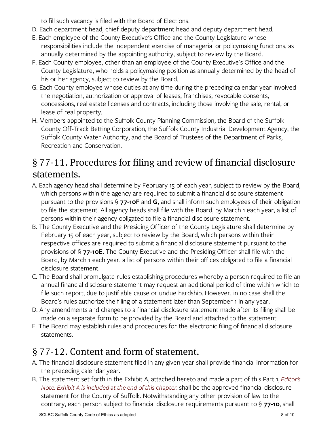to fill such vacancy is filed with the Board of Elections.

- D. Each department head, chief deputy department head and deputy department head.
- E. Each employee of the County Executive's Office and the County Legislature whose responsibilities include the independent exercise of managerial or policymaking functions, as annually determined by the appointing authority, subject to review by the Board.
- F. Each County employee, other than an employee of the County Executive's Office and the County Legislature, who holds a policymaking position as annually determined by the head of his or her agency, subject to review by the Board.
- G. Each County employee whose duties at any time during the preceding calendar year involved the negotiation, authorization or approval of leases, franchises, revocable consents, concessions, real estate licenses and contracts, including those involving the sale, rental, or lease of real property.
- H. Members appointed to the Suffolk County Planning Commission, the Board of the Suffolk County Off-Track Betting Corporation, the Suffolk County Industrial Development Agency, the Suffolk County Water Authority, and the Board of Trustees of the Department of Parks, Recreation and Conservation.

### § 77-11. Procedures for filing and review of financial disclosure statements.

- A. Each agency head shall determine by February 15 of each year, subject to review by the Board, which persons within the agency are required to submit a financial disclosure statement pursuant to the provisions  $\S$  77-10F and G, and shall inform such employees of their obligation to file the statement. All agency heads shall file with the Board, by March 1 each year, a list of persons within their agency obligated to file a financial disclosure statement.
- B. The County Executive and the Presiding Officer of the County Legislature shall determine by February 15 of each year, subject to review by the Board, which persons within their respective offices are required to submit a financial disclosure statement pursuant to the provisions of § 77-10E. The County Executive and the Presiding Officer shall file with the Board, by March 1 each year, a list of persons within their offices obligated to file a financial disclosure statement.
- C. The Board shall promulgate rules establishing procedures whereby a person required to file an annual financial disclosure statement may request an additional period of time within which to file such report, due to justifiable cause or undue hardship. However, in no case shall the Board's rules authorize the filing of a statement later than September 1 in any year.
- D. Any amendments and changes to a financial disclosure statement made after its filing shall be made on a separate form to be provided by the Board and attached to the statement.
- E. The Board may establish rules and procedures for the electronic filing of financial disclosure statements.

## § 77-12. Content and form of statement.

- A. The financial disclosure statement filed in any given year shall provide financial information for the preceding calendar year.
- B. The statement set forth in the Exhibit A, attached hereto and made a part of this Part 1, Editor's Note: Exhibit A is included at the end of this chapter. shall be the approved financial disclosure statement for the County of Suffolk. Notwithstanding any other provision of law to the contrary, each person subject to financial disclosure requirements pursuant to  $\S$  77-10, shall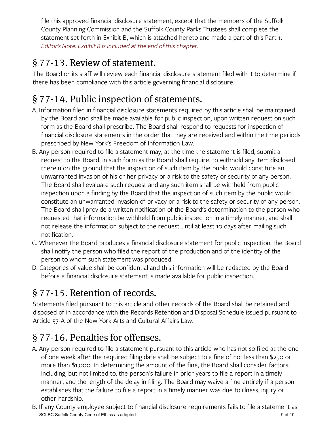file this approved financial disclosure statement, except that the members of the Suffolk County Planning Commission and the Suffolk County Parks Trustees shall complete the statement set forth in Exhibit B, which is attached hereto and made a part of this Part 1. Editor's Note: Exhibit B is included at the end of this chapter.

## § 77-13. Review of statement.

The Board or its staff will review each financial disclosure statement filed with it to determine if there has been compliance with this article governing financial disclosure.

# § 77-14. Public inspection of statements.

- A. Information filed in financial disclosure statements required by this article shall be maintained by the Board and shall be made available for public inspection, upon written request on such form as the Board shall prescribe. The Board shall respond to requests for inspection of financial disclosure statements in the order that they are received and within the time periods prescribed by New York's Freedom of Information Law.
- B. Any person required to file a statement may, at the time the statement is filed, submit a request to the Board, in such form as the Board shall require, to withhold any item disclosed therein on the ground that the inspection of such item by the public would constitute an unwarranted invasion of his or her privacy or a risk to the safety or security of any person. The Board shall evaluate such request and any such item shall be withheld from public inspection upon a finding by the Board that the inspection of such item by the public would constitute an unwarranted invasion of privacy or a risk to the safety or security of any person. The Board shall provide a written notification of the Board's determination to the person who requested that information be withheld from public inspection in a timely manner, and shall not release the information subject to the request until at least 10 days after mailing such notification.
- C. Whenever the Board produces a financial disclosure statement for public inspection, the Board shall notify the person who filed the report of the production and of the identity of the person to whom such statement was produced.
- D. Categories of value shall be confidential and this information will be redacted by the Board before a financial disclosure statement is made available for public inspection.

# § 77-15. Retention of records.

Statements filed pursuant to this article and other records of the Board shall be retained and disposed of in accordance with the Records Retention and Disposal Schedule issued pursuant to Article 57-A of the New York Arts and Cultural Affairs Law.

# § 77-16. Penalties for offenses.

- A. Any person required to file a statement pursuant to this article who has not so filed at the end of one week after the required filing date shall be subject to a fine of not less than \$250 or more than \$1,000. In determining the amount of the fine, the Board shall consider factors, including, but not limited to, the person's failure in prior years to file a report in a timely manner, and the length of the delay in filing. The Board may waive a fine entirely if a person establishes that the failure to file a report in a timely manner was due to illness, injury or other hardship.
- B. If any County employee subject to financial disclosure requirements fails to file a statement as SCLBC Suffolk County Code of Ethics as adopted 9 of 10